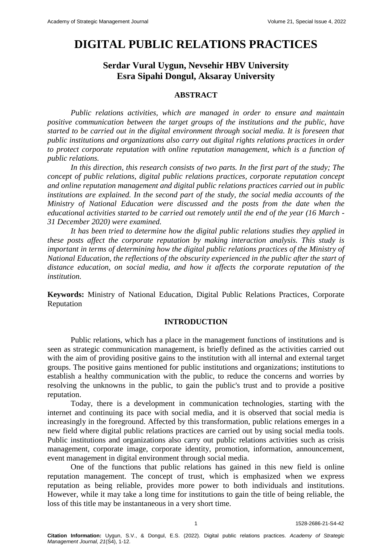# **DIGITAL PUBLIC RELATIONS PRACTICES**

## **Serdar Vural Uygun, Nevsehir HBV University Esra Sipahi Dongul, Aksaray University**

### **ABSTRACT**

*Public relations activities, which are managed in order to ensure and maintain positive communication between the target groups of the institutions and the public, have started to be carried out in the digital environment through social media. It is foreseen that public institutions and organizations also carry out digital rights relations practices in order to protect corporate reputation with online reputation management, which is a function of public relations.*

*In this direction, this research consists of two parts. In the first part of the study; The concept of public relations, digital public relations practices, corporate reputation concept and online reputation management and digital public relations practices carried out in public institutions are explained. In the second part of the study, the social media accounts of the Ministry of National Education were discussed and the posts from the date when the educational activities started to be carried out remotely until the end of the year (16 March - 31 December 2020) were examined.*

*It has been tried to determine how the digital public relations studies they applied in these posts affect the corporate reputation by making interaction analysis. This study is important in terms of determining how the digital public relations practices of the Ministry of National Education, the reflections of the obscurity experienced in the public after the start of distance education, on social media, and how it affects the corporate reputation of the institution.*

**Keywords:** Ministry of National Education, Digital Public Relations Practices, Corporate Reputation

## **INTRODUCTION**

Public relations, which has a place in the management functions of institutions and is seen as strategic communication management, is briefly defined as the activities carried out with the aim of providing positive gains to the institution with all internal and external target groups. The positive gains mentioned for public institutions and organizations; institutions to establish a healthy communication with the public, to reduce the concerns and worries by resolving the unknowns in the public, to gain the public's trust and to provide a positive reputation.

Today, there is a development in communication technologies, starting with the internet and continuing its pace with social media, and it is observed that social media is increasingly in the foreground. Affected by this transformation, public relations emerges in a new field where digital public relations practices are carried out by using social media tools. Public institutions and organizations also carry out public relations activities such as crisis management, corporate image, corporate identity, promotion, information, announcement, event management in digital environment through social media.

One of the functions that public relations has gained in this new field is online reputation management. The concept of trust, which is emphasized when we express reputation as being reliable, provides more power to both individuals and institutions. However, while it may take a long time for institutions to gain the title of being reliable, the loss of this title may be instantaneous in a very short time.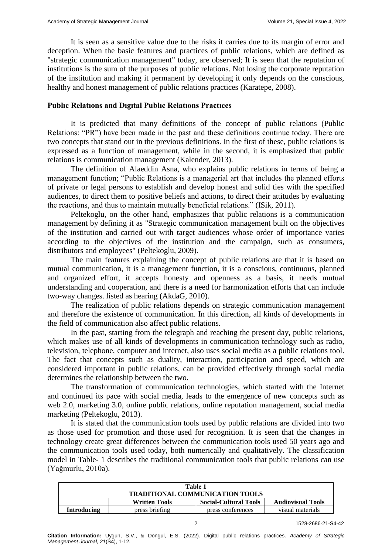It is seen as a sensitive value due to the risks it carries due to its margin of error and deception. When the basic features and practices of public relations, which are defined as "strategic communication management" today, are observed; It is seen that the reputation of institutions is the sum of the purposes of public relations. Not losing the corporate reputation of the institution and making it permanent by developing it only depends on the conscious, healthy and honest management of public relations practices (Karatepe, 2008).

## **Publıc Relatıons and Dıgıtal Publıc Relatıons Practıces**

It is predicted that many definitions of the concept of public relations (Public Relations: "PR") have been made in the past and these definitions continue today. There are two concepts that stand out in the previous definitions. In the first of these, public relations is expressed as a function of management, while in the second, it is emphasized that public relations is communication management (Kalender, 2013).

The definition of Alaeddin Asna, who explains public relations in terms of being a management function; "Public Relations is a managerial art that includes the planned efforts of private or legal persons to establish and develop honest and solid ties with the specified audiences, to direct them to positive beliefs and actions, to direct their attitudes by evaluating the reactions, and thus to maintain mutually beneficial relations." (ISik, 2011).

Peltekoglu, on the other hand, emphasizes that public relations is a communication management by defining it as "Strategic communication management built on the objectives of the institution and carried out with target audiences whose order of importance varies according to the objectives of the institution and the campaign, such as consumers, distributors and employees" (Peltekoglu, 2009).

The main features explaining the concept of public relations are that it is based on mutual communication, it is a management function, it is a conscious, continuous, planned and organized effort, it accepts honesty and openness as a basis, it needs mutual understanding and cooperation, and there is a need for harmonization efforts that can include two-way changes. listed as hearing (AkdaG, 2010).

The realization of public relations depends on strategic communication management and therefore the existence of communication. In this direction, all kinds of developments in the field of communication also affect public relations.

In the past, starting from the telegraph and reaching the present day, public relations, which makes use of all kinds of developments in communication technology such as radio, television, telephone, computer and internet, also uses social media as a public relations tool. The fact that concepts such as duality, interaction, participation and speed, which are considered important in public relations, can be provided effectively through social media determines the relationship between the two.

The transformation of communication technologies, which started with the Internet and continued its pace with social media, leads to the emergence of new concepts such as web 2.0, marketing 3.0, online public relations, online reputation management, social media marketing (Peltekoglu, 2013).

It is stated that the communication tools used by public relations are divided into two as those used for promotion and those used for recognition. It is seen that the changes in technology create great differences between the communication tools used 50 years ago and the communication tools used today, both numerically and qualitatively. The classification model in Table- 1 describes the traditional communication tools that public relations can use (Yağmurlu, 2010a).

| Table 1<br><b>TRADITIONAL COMMUNICATION TOOLS</b>                                |  |  |  |  |  |  |
|----------------------------------------------------------------------------------|--|--|--|--|--|--|
| <b>Social-Cultural Tools</b><br><b>Audiovisual Tools</b><br><b>Written Tools</b> |  |  |  |  |  |  |
| press briefing<br>press conferences<br>visual materials<br>Introducing           |  |  |  |  |  |  |

2 1528-2686-21-S4-42

**Citation Information:** Uygun, S.V., & Dongul, E.S. (2022). Digital public relations practices. *Academy of Strategic Management Journal, 21*(S4), 1-12.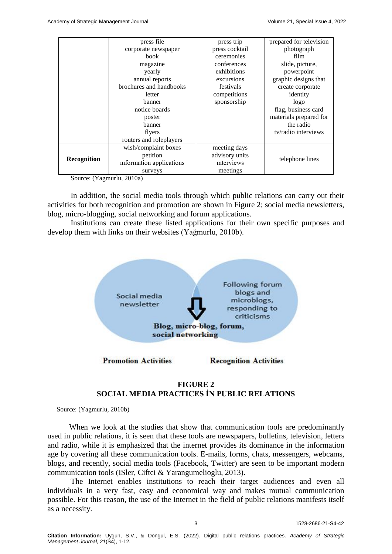|               | press file               | press trip     | prepared for television |
|---------------|--------------------------|----------------|-------------------------|
|               | corporate newspaper      | press cocktail | photograph              |
|               | book                     | ceremonies     | film                    |
|               | magazine                 | conferences    | slide, picture,         |
|               | yearly                   | exhibitions    | powerpoint              |
|               | annual reports           | excursions     | graphic designs that    |
|               | brochures and handbooks  | festivals      | create corporate        |
|               | letter                   | competitions   | identity                |
|               | banner                   | sponsorship    | logo                    |
| notice boards |                          |                | flag, business card     |
|               | poster                   |                | materials prepared for  |
|               | banner                   |                | the radio               |
| flyers        |                          |                | ty/radio interviews     |
|               | routers and roleplayers  |                |                         |
|               | wish/complaint boxes     | meeting days   |                         |
| Recognition   | petition                 | advisory units | telephone lines         |
|               | information applications | interviews     |                         |
|               | surveys                  | meetings       |                         |

Source: (Yagmurlu, 2010a)

In addition, the social media tools through which public relations can carry out their activities for both recognition and promotion are shown in Figure 2; social media newsletters, blog, micro-blogging, social networking and forum applications.

Institutions can create these listed applications for their own specific purposes and develop them with links on their websites (Yağmurlu, 2010b).



## **FIGURE 2 SOCIAL MEDIA PRACTICES İN PUBLIC RELATIONS**

Source: (Yagmurlu, 2010b)

 When we look at the studies that show that communication tools are predominantly used in public relations, it is seen that these tools are newspapers, bulletins, television, letters and radio, while it is emphasized that the internet provides its dominance in the information age by covering all these communication tools. E-mails, forms, chats, messengers, webcams, blogs, and recently, social media tools (Facebook, Twitter) are seen to be important modern communication tools (ISler, Ciftci & Yarangumelioglu, 2013).

The Internet enables institutions to reach their target audiences and even all individuals in a very fast, easy and economical way and makes mutual communication possible. For this reason, the use of the Internet in the field of public relations manifests itself as a necessity.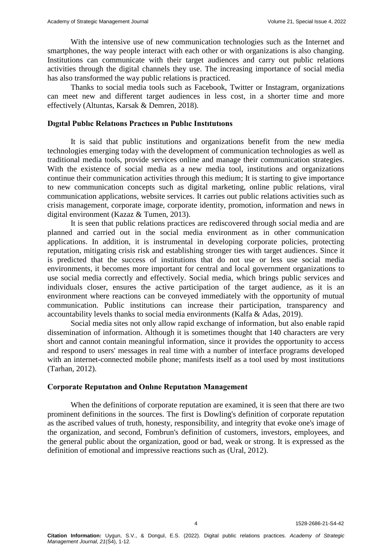With the intensive use of new communication technologies such as the Internet and smartphones, the way people interact with each other or with organizations is also changing. Institutions can communicate with their target audiences and carry out public relations activities through the digital channels they use. The increasing importance of social media has also transformed the way public relations is practiced.

Thanks to social media tools such as Facebook, Twitter or Instagram, organizations can meet new and different target audiences in less cost, in a shorter time and more effectively (Altuntas, Karsak & Demren, 2018).

#### **Dıgıtal Publıc Relatıons Practıces ın Publıc Instıtutıons**

It is said that public institutions and organizations benefit from the new media technologies emerging today with the development of communication technologies as well as traditional media tools, provide services online and manage their communication strategies. With the existence of social media as a new media tool, institutions and organizations continue their communication activities through this medium; It is starting to give importance to new communication concepts such as digital marketing, online public relations, viral communication applications, website services. It carries out public relations activities such as crisis management, corporate image, corporate identity, promotion, information and news in digital environment (Kazaz & Tumen, 2013).

It is seen that public relations practices are rediscovered through social media and are planned and carried out in the social media environment as in other communication applications. In addition, it is instrumental in developing corporate policies, protecting reputation, mitigating crisis risk and establishing stronger ties with target audiences. Since it is predicted that the success of institutions that do not use or less use social media environments, it becomes more important for central and local government organizations to use social media correctly and effectively. Social media, which brings public services and individuals closer, ensures the active participation of the target audience, as it is an environment where reactions can be conveyed immediately with the opportunity of mutual communication. Public institutions can increase their participation, transparency and accountability levels thanks to social media environments (Kalfa & Adas, 2019).

Social media sites not only allow rapid exchange of information, but also enable rapid dissemination of information. Although it is sometimes thought that 140 characters are very short and cannot contain meaningful information, since it provides the opportunity to access and respond to users' messages in real time with a number of interface programs developed with an internet-connected mobile phone; manifests itself as a tool used by most institutions (Tarhan, 2012).

#### **Corporate Reputatıon and Onlıne Reputatıon Management**

When the definitions of corporate reputation are examined, it is seen that there are two prominent definitions in the sources. The first is Dowling's definition of corporate reputation as the ascribed values of truth, honesty, responsibility, and integrity that evoke one's image of the organization, and second, Fombrun's definition of customers, investors, employees, and the general public about the organization, good or bad, weak or strong. It is expressed as the definition of emotional and impressive reactions such as (Ural, 2012).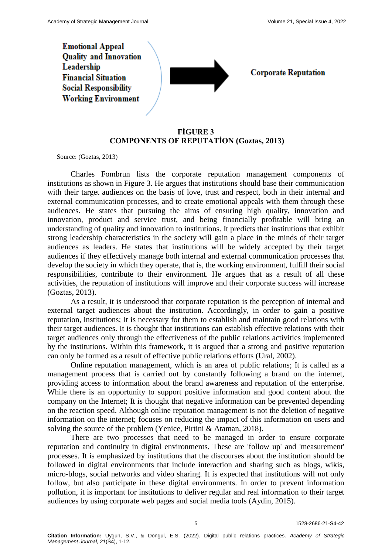**Emotional Appeal Ouality and Innovation** Leadership **Financial Situation Social Responsibility Working Environment** 



**Corporate Reputation** 

## **FİGURE 3 COMPONENTS OF REPUTATİON (Goztas, 2013)**

Source: (Goztas, 2013)

Charles Fombrun lists the corporate reputation management components of institutions as shown in Figure 3. He argues that institutions should base their communication with their target audiences on the basis of love, trust and respect, both in their internal and external communication processes, and to create emotional appeals with them through these audiences. He states that pursuing the aims of ensuring high quality, innovation and innovation, product and service trust, and being financially profitable will bring an understanding of quality and innovation to institutions. It predicts that institutions that exhibit strong leadership characteristics in the society will gain a place in the minds of their target audiences as leaders. He states that institutions will be widely accepted by their target audiences if they effectively manage both internal and external communication processes that develop the society in which they operate, that is, the working environment, fulfill their social responsibilities, contribute to their environment. He argues that as a result of all these activities, the reputation of institutions will improve and their corporate success will increase (Goztas, 2013).

As a result, it is understood that corporate reputation is the perception of internal and external target audiences about the institution. Accordingly, in order to gain a positive reputation, institutions; It is necessary for them to establish and maintain good relations with their target audiences. It is thought that institutions can establish effective relations with their target audiences only through the effectiveness of the public relations activities implemented by the institutions. Within this framework, it is argued that a strong and positive reputation can only be formed as a result of effective public relations efforts (Ural, 2002).

Online reputation management, which is an area of public relations; It is called as a management process that is carried out by constantly following a brand on the internet, providing access to information about the brand awareness and reputation of the enterprise. While there is an opportunity to support positive information and good content about the company on the Internet; It is thought that negative information can be prevented depending on the reaction speed. Although online reputation management is not the deletion of negative information on the internet; focuses on reducing the impact of this information on users and solving the source of the problem (Yenice, Pirtini & Ataman, 2018).

There are two processes that need to be managed in order to ensure corporate reputation and continuity in digital environments. These are 'follow up' and 'measurement' processes. It is emphasized by institutions that the discourses about the institution should be followed in digital environments that include interaction and sharing such as blogs, wikis, micro-blogs, social networks and video sharing. It is expected that institutions will not only follow, but also participate in these digital environments. In order to prevent information pollution, it is important for institutions to deliver regular and real information to their target audiences by using corporate web pages and social media tools (Aydin, 2015).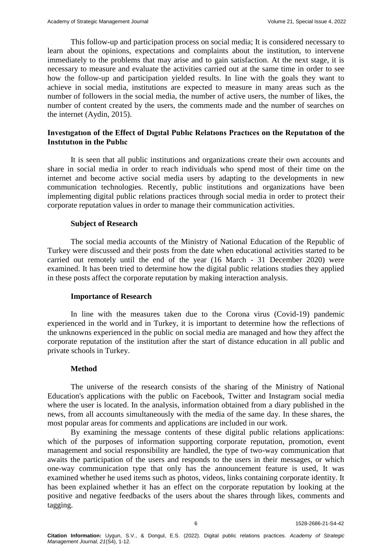This follow-up and participation process on social media; It is considered necessary to learn about the opinions, expectations and complaints about the institution, to intervene immediately to the problems that may arise and to gain satisfaction. At the next stage, it is necessary to measure and evaluate the activities carried out at the same time in order to see how the follow-up and participation yielded results. In line with the goals they want to achieve in social media, institutions are expected to measure in many areas such as the number of followers in the social media, the number of active users, the number of likes, the number of content created by the users, the comments made and the number of searches on the internet (Aydin, 2015).

## **Investıgatıon of the Effect of Dıgıtal Publıc Relatıons Practıces on the Reputatıon of the Instıtutıon in the Publıc**

It is seen that all public institutions and organizations create their own accounts and share in social media in order to reach individuals who spend most of their time on the internet and become active social media users by adapting to the developments in new communication technologies. Recently, public institutions and organizations have been implementing digital public relations practices through social media in order to protect their corporate reputation values in order to manage their communication activities.

#### **Subject of Research**

The social media accounts of the Ministry of National Education of the Republic of Turkey were discussed and their posts from the date when educational activities started to be carried out remotely until the end of the year (16 March - 31 December 2020) were examined. It has been tried to determine how the digital public relations studies they applied in these posts affect the corporate reputation by making interaction analysis.

#### **Importance of Research**

In line with the measures taken due to the Corona virus (Covid-19) pandemic experienced in the world and in Turkey, it is important to determine how the reflections of the unknowns experienced in the public on social media are managed and how they affect the corporate reputation of the institution after the start of distance education in all public and private schools in Turkey.

#### **Method**

The universe of the research consists of the sharing of the Ministry of National Education's applications with the public on Facebook, Twitter and Instagram social media where the user is located. In the analysis, information obtained from a diary published in the news, from all accounts simultaneously with the media of the same day. In these shares, the most popular areas for comments and applications are included in our work.

By examining the message contents of these digital public relations applications: which of the purposes of information supporting corporate reputation, promotion, event management and social responsibility are handled, the type of two-way communication that awaits the participation of the users and responds to the users in their messages, or which one-way communication type that only has the announcement feature is used, It was examined whether he used items such as photos, videos, links containing corporate identity. It has been explained whether it has an effect on the corporate reputation by looking at the positive and negative feedbacks of the users about the shares through likes, comments and tagging.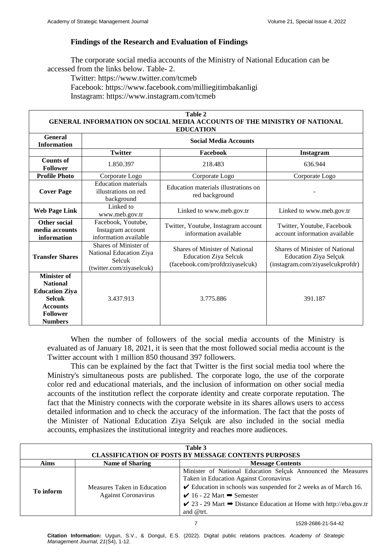## **Findings of the Research and Evaluation of Findings**

The corporate social media accounts of the Ministry of National Education can be accessed from the links below. Table- 2.

Twitter: https://www.twitter.com/tcmeb Facebook: https://www.facebook.com/milliegitimbakanligi Instagram: <https://www.instagram.com/tcmeb>

#### **Table 2 GENERAL INFORMATION ON SOCIAL MEDIA ACCOUNTS OF THE MINISTRY OF NATIONAL EDUCATION**

| LDUCATION                                                                                                                               |                                                                                        |                                                                                                   |                                                                                                    |  |  |
|-----------------------------------------------------------------------------------------------------------------------------------------|----------------------------------------------------------------------------------------|---------------------------------------------------------------------------------------------------|----------------------------------------------------------------------------------------------------|--|--|
| General<br><b>Information</b>                                                                                                           | <b>Social Media Accounts</b>                                                           |                                                                                                   |                                                                                                    |  |  |
|                                                                                                                                         | <b>Twitter</b>                                                                         | Facebook                                                                                          | Instagram                                                                                          |  |  |
| <b>Counts of</b><br><b>Follower</b>                                                                                                     | 1.850.397                                                                              | 218.483                                                                                           | 636.944                                                                                            |  |  |
| <b>Profile Photo</b>                                                                                                                    | Corporate Logo                                                                         | Corporate Logo                                                                                    | Corporate Logo                                                                                     |  |  |
| <b>Cover Page</b>                                                                                                                       | <b>Education</b> materials<br>illustrations on red<br>background                       | Education materials illustrations on<br>red background                                            |                                                                                                    |  |  |
| <b>Web Page Link</b>                                                                                                                    | Linked to<br>www.meb.gov.tr                                                            | Linked to www.meb.gov.tr                                                                          | Linked to www.meb.gov.tr                                                                           |  |  |
| Other social<br>media accounts<br>information                                                                                           | Facebook, Youtube,<br>Instagram account<br>information available                       | Twitter, Youtube, Instagram account<br>information available                                      | Twitter, Youtube, Facebook<br>account information available                                        |  |  |
| <b>Transfer Shares</b>                                                                                                                  | Shares of Minister of<br>National Education Ziya<br>Selcuk<br>(twitter.com/ziyaselcuk) | Shares of Minister of National<br><b>Education Ziya Selcuk</b><br>(facebook.com/profdrziyaselcuk) | Shares of Minister of National<br><b>Education Ziya Selçuk</b><br>(instagram.com/ziyaselcukprofdr) |  |  |
| <b>Minister of</b><br><b>National</b><br><b>Education Ziya</b><br><b>Selcuk</b><br><b>Accounts</b><br><b>Follower</b><br><b>Numbers</b> | 3.437.913                                                                              | 3.775.886                                                                                         | 391.187                                                                                            |  |  |

When the number of followers of the social media accounts of the Ministry is evaluated as of January 18, 2021, it is seen that the most followed social media account is the Twitter account with 1 million 850 thousand 397 followers.

This can be explained by the fact that Twitter is the first social media tool where the Ministry's simultaneous posts are published. The corporate logo, the use of the corporate color red and educational materials, and the inclusion of information on other social media accounts of the institution reflect the corporate identity and create corporate reputation. The fact that the Ministry connects with the corporate website in its shares allows users to access detailed information and to check the accuracy of the information. The fact that the posts of the Minister of National Education Ziya Selçuk are also included in the social media accounts, emphasizes the institutional integrity and reaches more audiences.

| Table 3<br><b>CLASSIFICATION OF POSTS BY MESSAGE CONTENTS PURPOSES</b> |                                                           |                                                                                                                                                                                                                                                                                                                                               |  |  |  |
|------------------------------------------------------------------------|-----------------------------------------------------------|-----------------------------------------------------------------------------------------------------------------------------------------------------------------------------------------------------------------------------------------------------------------------------------------------------------------------------------------------|--|--|--|
| <b>Aims</b><br><b>Name of Sharing</b><br><b>Message Contents</b>       |                                                           |                                                                                                                                                                                                                                                                                                                                               |  |  |  |
| To inform                                                              | Measures Taken in Education<br><b>Against Coronavirus</b> | Minister of National Education Selçuk Announced the Measures<br>Taken in Education Against Coronavirus<br>$\checkmark$ Education in schools was suspended for 2 weeks as of March 16.<br>$\vee$ 16 - 22 Mart $\rightarrow$ Semester<br>$\checkmark$ 23 - 29 Mart $\Rightarrow$ Distance Education at Home with http://eba.gov.tr<br>and @trt. |  |  |  |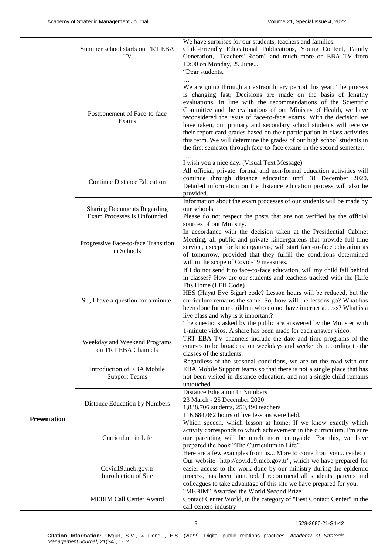|                     | Summer school starts on TRT EBA<br>TV                             | We have surprises for our students, teachers and families.<br>Child-Friendly Educational Publications, Young Content, Family<br>Generation, "Teachers' Room" and much more on EBA TV from<br>10:00 on Monday, 29 June                                                                                                                                                                                                                                                                                                                                                                                                                                                     |
|---------------------|-------------------------------------------------------------------|---------------------------------------------------------------------------------------------------------------------------------------------------------------------------------------------------------------------------------------------------------------------------------------------------------------------------------------------------------------------------------------------------------------------------------------------------------------------------------------------------------------------------------------------------------------------------------------------------------------------------------------------------------------------------|
|                     | Postponement of Face-to-face<br>Exams                             | "Dear students,<br>We are going through an extraordinary period this year. The process<br>is changing fast; Decisions are made on the basis of lengthy<br>evaluations. In line with the recommendations of the Scientific<br>Committee and the evaluations of our Ministry of Health, we have<br>reconsidered the issue of face-to-face exams. With the decision we<br>have taken, our primary and secondary school students will receive<br>their report card grades based on their participation in class activities<br>this term. We will determine the grades of our high school students in<br>the first semester through face-to-face exams in the second semester. |
|                     |                                                                   | I wish you a nice day. (Visual Text Message)                                                                                                                                                                                                                                                                                                                                                                                                                                                                                                                                                                                                                              |
|                     | <b>Continue Distance Education</b>                                | All official, private, formal and non-formal education activities will<br>continue through distance education until 31 December 2020.<br>Detailed information on the distance education process will also be<br>provided.                                                                                                                                                                                                                                                                                                                                                                                                                                                 |
|                     | <b>Sharing Documents Regarding</b><br>Exam Processes is Unfounded | Information about the exam processes of our students will be made by<br>our schools.<br>Please do not respect the posts that are not verified by the official<br>sources of our Ministry.                                                                                                                                                                                                                                                                                                                                                                                                                                                                                 |
|                     | Progressive Face-to-face Transition<br>in Schools                 | In accordance with the decision taken at the Presidential Cabinet<br>Meeting, all public and private kindergartens that provide full-time<br>service, except for kindergartens, will start face-to-face education as<br>of tomorrow, provided that they fulfill the conditions determined<br>within the scope of Covid-19 measures.                                                                                                                                                                                                                                                                                                                                       |
|                     | Sir, I have a question for a minute.                              | If I do not send it to face-to-face education, will my child fall behind<br>in classes? How are our students and teachers tracked with the [Life<br>Fits Home (LFH Code)]<br>HES (Hayat Eve Siğar) code? Lesson hours will be reduced, but the<br>curriculum remains the same. So, how will the lessons go? What has<br>been done for our children who do not have internet access? What is a<br>live class and why is it important?<br>The questions asked by the public are answered by the Minister with<br>1-minute videos. A share has been made for each answer video.                                                                                              |
|                     | Weekday and Weekend Programs<br>on TRT EBA Channels               | TRT EBA TV channels include the date and time programs of the<br>courses to be broadcast on weekdays and weekends according to the<br>classes of the students.                                                                                                                                                                                                                                                                                                                                                                                                                                                                                                            |
|                     | Introduction of EBA Mobile<br><b>Support Teams</b>                | Regardless of the seasonal conditions, we are on the road with our<br>EBA Mobile Support teams so that there is not a single place that has<br>not been visited in distance education, and not a single child remains<br>untouched.                                                                                                                                                                                                                                                                                                                                                                                                                                       |
| <b>Presentation</b> | Distance Education by Numbers                                     | <b>Distance Education In Numbers</b><br>23 March - 25 December 2020<br>1,838,706 students, 250,490 teachers<br>116,684,062 hours of live lessons were held.                                                                                                                                                                                                                                                                                                                                                                                                                                                                                                               |
|                     | Curriculum in Life                                                | Which speech, which lesson at home; If we know exactly which<br>activity corresponds to which achievement in the curriculum, I'm sure<br>our parenting will be much more enjoyable. For this, we have<br>prepared the book "The Curriculum in Life".<br>Here are a few examples from us More to come from you (video)                                                                                                                                                                                                                                                                                                                                                     |
|                     | Covid19.meb.gov.tr<br>Introduction of Site                        | Our website "http://covid19.meb.gov.tr", which we have prepared for<br>easier access to the work done by our ministry during the epidemic<br>process, has been launched. I recommend all students, parents and<br>colleagues to take advantage of this site we have prepared for you.                                                                                                                                                                                                                                                                                                                                                                                     |
|                     | <b>MEBIM Call Center Award</b>                                    | "MEBIM" Awarded the World Second Prize<br>Contact Center World, in the category of "Best Contact Center" in the<br>call centers industry                                                                                                                                                                                                                                                                                                                                                                                                                                                                                                                                  |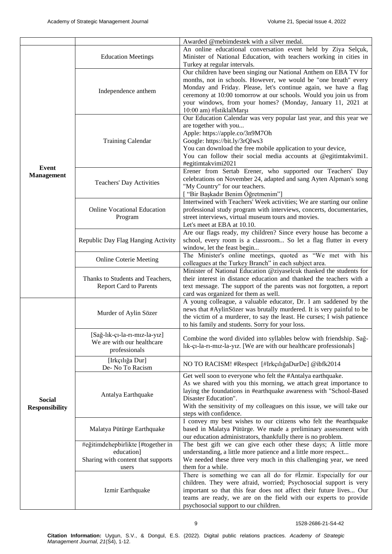|                                        | <b>Education Meetings</b>                                                                       | Awarded @mebimdestek with a silver medal.<br>An online educational conversation event held by Ziya Selçuk,<br>Minister of National Education, with teachers working in cities in<br>Turkey at regular intervals.                                                                                                                                                       |  |  |
|----------------------------------------|-------------------------------------------------------------------------------------------------|------------------------------------------------------------------------------------------------------------------------------------------------------------------------------------------------------------------------------------------------------------------------------------------------------------------------------------------------------------------------|--|--|
|                                        | Independence anthem                                                                             | Our children have been singing our National Anthem on EBA TV for<br>months, not in schools. However, we would be "one breath" every<br>Monday and Friday. Please, let's continue again, we have a flag<br>ceremony at 10:00 tomorrow at our schools. Would you join us from<br>your windows, from your homes? (Monday, January 11, 2021 at<br>10:00 am) #İstiklalMarşı |  |  |
|                                        | <b>Training Calendar</b>                                                                        | Our Education Calendar was very popular last year, and this year we<br>are together with you<br>Apple: https://apple.co/3n9M7Oh<br>Google: https://bit.ly/3rQIws3<br>You can download the free mobile application to your device,<br>You can follow their social media accounts at @egitimtakvimi1.<br>#egitimtakvimi2021                                              |  |  |
| Event<br><b>Management</b>             | Teachers' Day Activities                                                                        | Erener from Sertab Erener, who supported our Teachers' Day<br>celebrations on November 24, adapted and sang Ayten Alpman's song<br>"My Country" for our teachers.<br>["Bir Başkadır Benim Öğretmenim"]                                                                                                                                                                 |  |  |
|                                        | <b>Online Vocational Education</b><br>Program                                                   | Intertwined with Teachers' Week activities; We are starting our online<br>professional study program with interviews, concerts, documentaries,<br>street interviews, virtual museum tours and movies.<br>Let's meet at EBA at 10.10.                                                                                                                                   |  |  |
|                                        | Republic Day Flag Hanging Activity                                                              | Are our flags ready, my children? Since every house has become a<br>school, every room is a classroom So let a flag flutter in every<br>window, let the feast begin                                                                                                                                                                                                    |  |  |
|                                        | <b>Online Coterie Meeting</b>                                                                   | The Minister's online meetings, quoted as "We met with his<br>colleagues at the Turkey Branch" in each subject area.                                                                                                                                                                                                                                                   |  |  |
|                                        | Thanks to Students and Teachers,<br><b>Report Card to Parents</b>                               | Minister of National Education @ziyaselcuk thanked the students for<br>their interest in distance education and thanked the teachers with a<br>text message. The support of the parents was not forgotten, a report<br>card was organized for them as well.                                                                                                            |  |  |
|                                        | Murder of Aylin Sözer                                                                           | A young colleague, a valuable educator, Dr. I am saddened by the<br>news that #AylinSözer was brutally murdered. It is very painful to be<br>the victim of a murderer, to say the least. He curses; I wish patience<br>to his family and students. Sorry for your loss.                                                                                                |  |  |
|                                        | [Sağ-lık-çı-la-rı-mız-la-yız]<br>We are with our healthcare<br>professionals                    | Combine the word divided into syllables below with friendship. Sağ-<br>lık-çı-la-rı-mız-la-yız. [We are with our healthcare professionals]                                                                                                                                                                                                                             |  |  |
|                                        | [Irkçılığa Dur]<br>De-No To Racism                                                              | NO TO RACISM! #Respect [#IrkçılığaDurDe] @ibfk2014                                                                                                                                                                                                                                                                                                                     |  |  |
| <b>Social</b><br><b>Responsibility</b> | Antalya Earthquake                                                                              | Get well soon to everyone who felt the #Antalya earthquake.<br>As we shared with you this morning, we attach great importance to<br>laying the foundations in #earthquake awareness with "School-Based<br>Disaster Education".<br>With the sensitivity of my colleagues on this issue, we will take our<br>steps with confidence.                                      |  |  |
|                                        | Malatya Pütürge Earthquake                                                                      | I convey my best wishes to our citizens who felt the #earthquake<br>based in Malatya Pütürge. We made a preliminary assessment with<br>our education administrators, thankfully there is no problem.                                                                                                                                                                   |  |  |
|                                        | #eğitimdehepbirlikte [#together in<br>education]<br>Sharing with content that supports<br>users | The best gift we can give each other these days; A little more<br>understanding, a little more patience and a little more respect<br>We needed these three very much in this challenging year, we need<br>them for a while.                                                                                                                                            |  |  |
|                                        | Izmir Earthquake                                                                                | There is something we can all do for #İzmir. Especially for our<br>children. They were afraid, worried; Psychosocial support is very<br>important so that this fear does not affect their future lives Our<br>teams are ready, we are on the field with our experts to provide<br>psychosocial support to our children.                                                |  |  |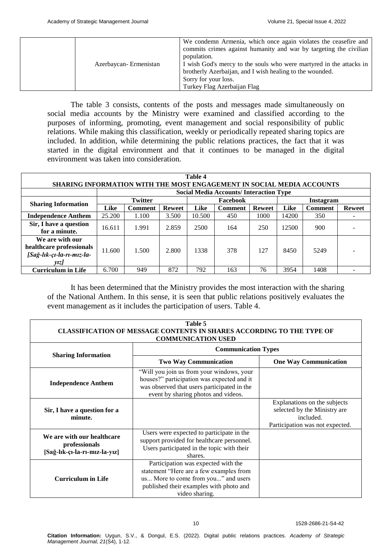| Azerbaycan-Ermenistan | We condemn Armenia, which once again violates the ceasefire and<br>commits crimes against humanity and war by targeting the civilian<br>population.<br>I wish God's mercy to the souls who were martyred in the attacks in<br>brotherly Azerbaijan, and I wish healing to the wounded.<br>Sorry for your loss.<br>Turkey Flag Azerbaijan Flag |
|-----------------------|-----------------------------------------------------------------------------------------------------------------------------------------------------------------------------------------------------------------------------------------------------------------------------------------------------------------------------------------------|
|-----------------------|-----------------------------------------------------------------------------------------------------------------------------------------------------------------------------------------------------------------------------------------------------------------------------------------------------------------------------------------------|

The table 3 consists, contents of the posts and messages made simultaneously on social media accounts by the Ministry were examined and classified according to the purposes of informing, promoting, event management and social responsibility of public relations. While making this classification, weekly or periodically repeated sharing topics are included. In addition, while determining the public relations practices, the fact that it was started in the digital environment and that it continues to be managed in the digital environment was taken into consideration.

| Table 4                    |                                                                              |                |               |        |                                               |               |       |                |               |
|----------------------------|------------------------------------------------------------------------------|----------------|---------------|--------|-----------------------------------------------|---------------|-------|----------------|---------------|
|                            | <b>SHARING INFORMATION WITH THE MOST ENGAGEMENT IN SOCIAL MEDIA ACCOUNTS</b> |                |               |        |                                               |               |       |                |               |
|                            |                                                                              |                |               |        | <b>Social Media Accounts/Interaction Type</b> |               |       |                |               |
|                            |                                                                              | <b>Twitter</b> |               |        | Facebook                                      |               |       | Instagram      |               |
| <b>Sharing Information</b> | Like                                                                         | <b>Comment</b> | <b>Reweet</b> | Like   | <b>Comment</b>                                | <b>Reweet</b> | Like  | <b>Comment</b> | <b>Reweet</b> |
| <b>Independence Anthem</b> | 25.200                                                                       | 1.100          | 3.500         | 10.500 | 450                                           | 1000          | 14200 | 350            |               |
| Sir, I have a question     | 16.611                                                                       | 1.991          | 2.859         | 2500   | 164                                           | 250           | 12500 | 900            |               |
| for a minute.              |                                                                              |                |               |        |                                               |               |       |                |               |
| We are with our            |                                                                              |                |               |        |                                               |               |       |                |               |
| healthcare professionals   | 11.600                                                                       | 1.500          | 2.800         | 1338   | 378                                           | 127           | 8450  | 5249           |               |
| [Sağ-lık-çı-la-rı-mız-la-  |                                                                              |                |               |        |                                               |               |       |                |               |
| <i>vizl</i>                |                                                                              |                |               |        |                                               |               |       |                |               |
| <b>Curriculum in Life</b>  | 6.700                                                                        | 949            | 872           | 792    | 163                                           | 76            | 3954  | 1408           |               |

It has been determined that the Ministry provides the most interaction with the sharing of the National Anthem. In this sense, it is seen that public relations positively evaluates the event management as it includes the participation of users. Table 4.

| Table 5<br><b>CLASSIFICATION OF MESSAGE CONTENTS IN SHARES ACCORDING TO THE TYPE OF</b><br><b>COMMUNICATION USED</b> |                                                                                                                                                                                    |                                                                                                              |  |  |  |
|----------------------------------------------------------------------------------------------------------------------|------------------------------------------------------------------------------------------------------------------------------------------------------------------------------------|--------------------------------------------------------------------------------------------------------------|--|--|--|
|                                                                                                                      |                                                                                                                                                                                    | <b>Communication Types</b>                                                                                   |  |  |  |
| <b>Sharing Information</b>                                                                                           | <b>Two Way Communication</b>                                                                                                                                                       | <b>One Way Communication</b>                                                                                 |  |  |  |
| <b>Independence Anthem</b>                                                                                           | "Will you join us from your windows, your<br>houses?" participation was expected and it<br>was observed that users participated in the<br>event by sharing photos and videos.      |                                                                                                              |  |  |  |
| Sir, I have a question for a<br>minute.                                                                              |                                                                                                                                                                                    | Explanations on the subjects<br>selected by the Ministry are<br>included.<br>Participation was not expected. |  |  |  |
| We are with our healthcare<br>professionals<br>[Sağ-lık-çı-la-rı-mız-la-yız]                                         | Users were expected to participate in the<br>support provided for healthcare personnel.<br>Users participated in the topic with their<br>shares.                                   |                                                                                                              |  |  |  |
| <b>Curriculum in Life</b>                                                                                            | Participation was expected with the<br>statement "Here are a few examples from<br>us More to come from you" and users<br>published their examples with photo and<br>video sharing. |                                                                                                              |  |  |  |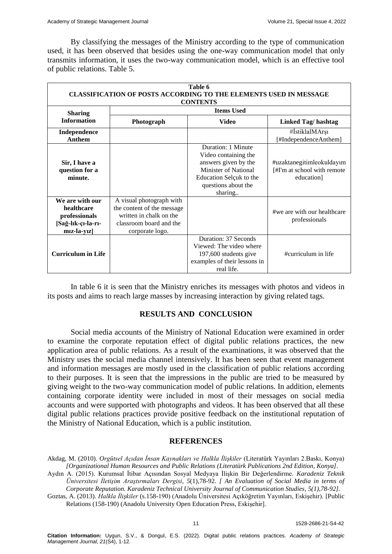By classifying the messages of the Ministry according to the type of communication used, it has been observed that besides using the one-way communication model that only transmits information, it uses the two-way communication model, which is an effective tool of public relations. Table 5.

| Table 6<br><b>CLASSIFICATION OF POSTS ACCORDING TO THE ELEMENTS USED IN MESSAGE</b><br><b>CONTENTS</b> |                                                                                                                                 |                                                                                                                                                                |                                                                        |  |  |
|--------------------------------------------------------------------------------------------------------|---------------------------------------------------------------------------------------------------------------------------------|----------------------------------------------------------------------------------------------------------------------------------------------------------------|------------------------------------------------------------------------|--|--|
| <b>Sharing</b>                                                                                         |                                                                                                                                 | <b>Items Used</b>                                                                                                                                              |                                                                        |  |  |
| <b>Information</b>                                                                                     | Photograph                                                                                                                      | <b>Video</b>                                                                                                                                                   | <b>Linked Tag/hashtag</b>                                              |  |  |
| Independence<br>Anthem                                                                                 |                                                                                                                                 |                                                                                                                                                                | #İstiklalMArşı#<br>[#IndependenceAnthem]                               |  |  |
| Sir, I have a<br>question for a<br>minute.                                                             |                                                                                                                                 | Duration: 1 Minute<br>Video containing the<br>answers given by the<br><b>Minister of National</b><br>Education Selçuk to the<br>questions about the<br>sharing | #uzaktanegitimleokuldayım<br>[#I'm at school with remote<br>education] |  |  |
| We are with our<br>healthcare<br>professionals<br>[Sağ-lık-çı-la-rı-<br>$miz$ -la-yız $\vert$          | A visual photograph with<br>the content of the message<br>written in chalk on the<br>classroom board and the<br>corporate logo. |                                                                                                                                                                | #we are with our healthcare<br>professionals                           |  |  |
| <b>Curriculum in Life</b>                                                                              |                                                                                                                                 | Duration: 37 Seconds<br>Viewed: The video where<br>197,600 students give<br>examples of their lessons in<br>real life.                                         | #curriculum in life                                                    |  |  |

In table 6 it is seen that the Ministry enriches its messages with photos and videos in its posts and aims to reach large masses by increasing interaction by giving related tags.

### **RESULTS AND CONCLUSION**

Social media accounts of the Ministry of National Education were examined in order to examine the corporate reputation effect of digital public relations practices, the new application area of public relations. As a result of the examinations, it was observed that the Ministry uses the social media channel intensively. It has been seen that event management and information messages are mostly used in the classification of public relations according to their purposes. It is seen that the impressions in the public are tried to be measured by giving weight to the two-way communication model of public relations. In addition, elements containing corporate identity were included in most of their messages on social media accounts and were supported with photographs and videos. It has been observed that all these digital public relations practices provide positive feedback on the institutional reputation of the Ministry of National Education, which is a public institution.

#### **REFERENCES**

Akdag, M. (2010). *Orgütsel Açıdan İnsan Kaynakları ve Halkla İlişkiler* (Literatürk Yayınları 2.Baskı, Konya) *[Organizational Human Resources and Public Relations (Literatürk Publications 2nd Edition, Konya].* Aydın A. (2015). Kurumsal İtibar Açısından Sosyal Medyaya İlişkin Bir Değerlendirme. *Karadeniz Teknik* 

*Üniversitesi İletişim Araştırmaları Dergisi, 5*(1),78-92. *[ An Evaluation of Social Media in terms of Corporate Reputation. Karadeniz Technical University Journal of Communication Studies, 5(1),78-92].*

Goztas, A. (2013). *Halkla İlişkiler* (s.158-190) (Anadolu Üniversitesi Açıköğretim Yayınları, Eskişehir). [Public Relations (158-190) (Anadolu University Open Education Press, Eskişehir].